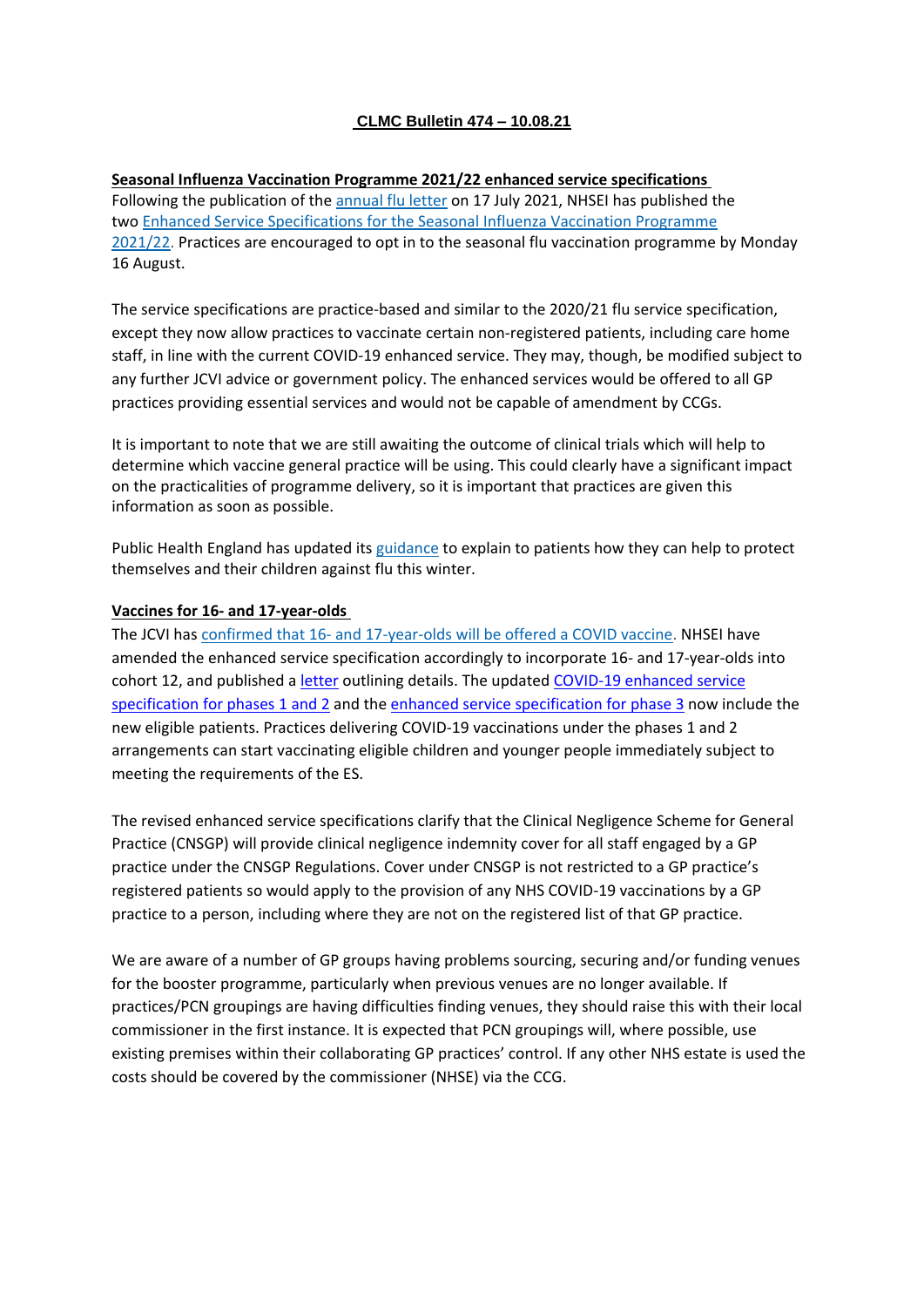# **CLMC Bulletin 474 – 10.08.21**

**Seasonal Influenza Vaccination Programme 2021/22 enhanced service specifications** Following the publication of the [annual](https://bma-mail.org.uk/t/JVX-7HFAO-JCJOU4-4IVC7V-1/c.aspx) flu letter on 17 July 2021, NHSEI has published the two Enhanced Service [Specifications](https://bma-mail.org.uk/t/JVX-7HFAO-JCJOU4-4IVC7W-1/c.aspx) for the Seasonal Influenza Vaccination Programme [2021/22.](https://bma-mail.org.uk/t/JVX-7HFAO-JCJOU4-4IVC7W-1/c.aspx) Practices are encouraged to opt in to the seasonal flu vaccination programme by Monday 16 August.

The service specifications are practice-based and similar to the 2020/21 flu service specification, except they now allow practices to vaccinate certain non-registered patients, including care home staff, in line with the current COVID-19 enhanced service. They may, though, be modified subject to any further JCVI advice or government policy. The enhanced services would be offered to all GP practices providing essential services and would not be capable of amendment by CCGs.

It is important to note that we are still awaiting the outcome of clinical trials which will help to determine which vaccine general practice will be using. This could clearly have a significant impact on the practicalities of programme delivery, so it is important that practices are given this information as soon as possible.

Public Health England has updated its [guidance](https://bma-mail.org.uk/t/JVX-7HFAO-JCJOU4-4IVC7X-1/c.aspx) to explain to patients how they can help to protect themselves and their children against flu this winter.

## **Vaccines for 16- and 17-year-olds**

The JCVI has confirmed that 16- and [17-year-olds](https://bma-mail.org.uk/t/JVX-7HFAO-JCJOU4-4IWU50-1/c.aspx) will be offered a COVID vaccine. NHSEI have amended the enhanced service specification accordingly to incorporate 16- and 17-year-olds into cohort 12, and published a [letter](https://www.england.nhs.uk/coronavirus/publication/updated-jcvi-guidance-for-the-vaccination-of-children-and-young-people/) outlining details. The updated COVID-19 [enhanced](https://generalpracticebulletin.cmail20.com/t/d-l-alliuid-juxdhitut-k/) service [specification](https://generalpracticebulletin.cmail20.com/t/d-l-alliuid-juxdhitut-k/) for phases 1 and 2 and the enhanced service [specification](https://generalpracticebulletin.cmail20.com/t/d-l-alliuid-juxdhitut-u/) for phase 3 now include the new eligible patients. Practices delivering COVID-19 vaccinations under the phases 1 and 2 arrangements can start vaccinating eligible children and younger people immediately subject to meeting the requirements of the ES.

The revised enhanced service specifications clarify that the Clinical Negligence Scheme for General Practice (CNSGP) will provide clinical negligence indemnity cover for all staff engaged by a GP practice under the CNSGP Regulations. Cover under CNSGP is not restricted to a GP practice's registered patients so would apply to the provision of any NHS COVID-19 vaccinations by a GP practice to a person, including where they are not on the registered list of that GP practice.

We are aware of a number of GP groups having problems sourcing, securing and/or funding venues for the booster programme, particularly when previous venues are no longer available. If practices/PCN groupings are having difficulties finding venues, they should raise this with their local commissioner in the first instance. It is expected that PCN groupings will, where possible, use existing premises within their collaborating GP practices' control. If any other NHS estate is used the costs should be covered by the commissioner (NHSE) via the CCG.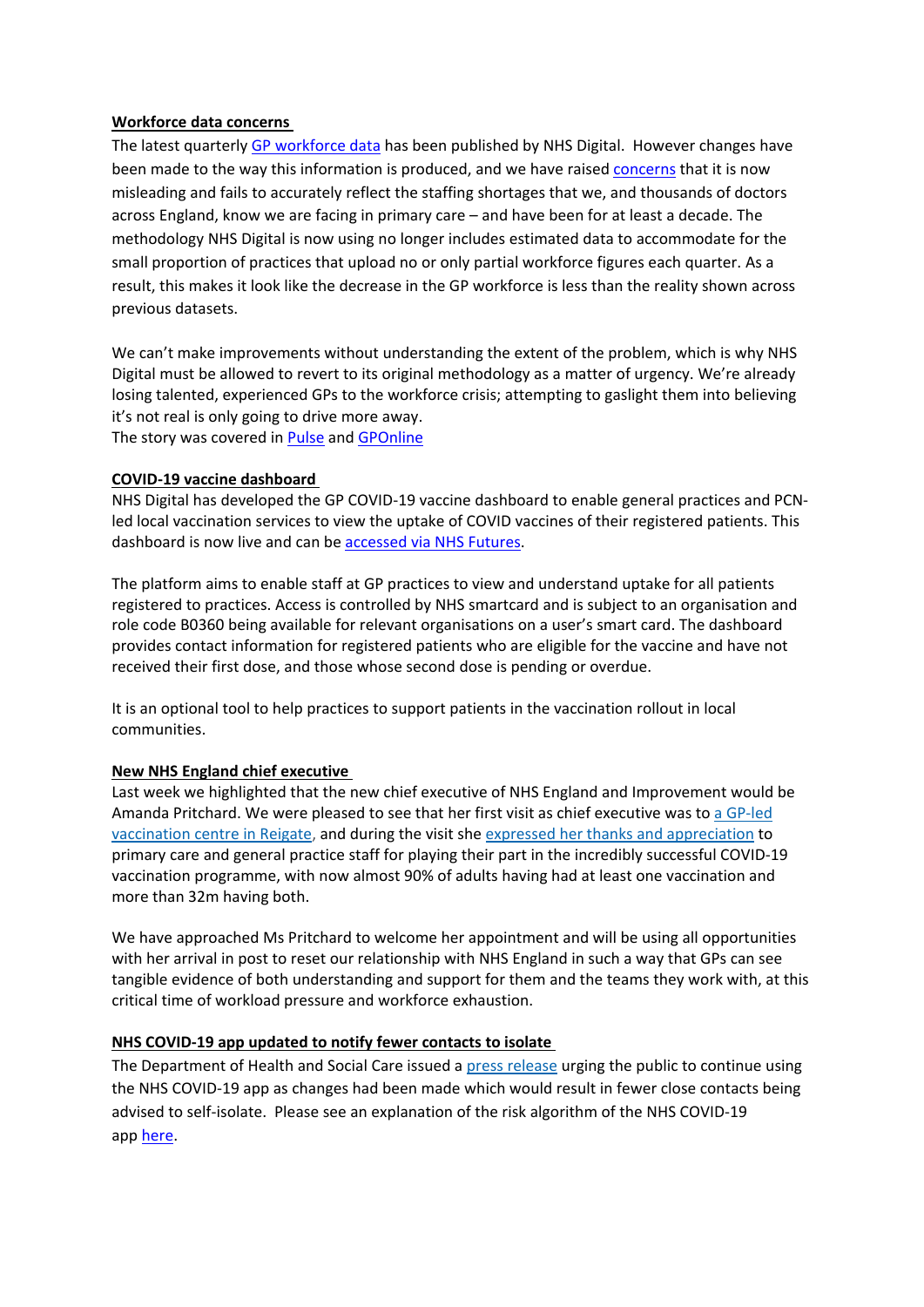# **Workforce data concerns**

The latest quarterly GP [workforce](https://digital.nhs.uk/data-and-information/publications/statistical/general-and-personal-medical-services/30-june-2021) data has been published by NHS Digital. However changes have been made to the way this information is produced, and we have raised [concerns](https://www.bma.org.uk/bma-media-centre/new-method-of-collecting-data-fails-to-reflect-the-reality-of-the-gp-workforce-crisis-says-bma?utm_source=The%20British%20Medical%20Association&utm_medium=email&utm_campaign=12570288_GP%20ENEWSLETTER%20050821&dm_t=0,0,0,0,0) that it is now misleading and fails to accurately reflect the staffing shortages that we, and thousands of doctors across England, know we are facing in primary care – and have been for at least a decade. The methodology NHS Digital is now using no longer includes estimated data to accommodate for the small proportion of practices that upload no or only partial workforce figures each quarter. As a result, this makes it look like the decrease in the GP workforce is less than the reality shown across previous datasets.

We can't make improvements without understanding the extent of the problem, which is why NHS Digital must be allowed to revert to its original methodology as a matter of urgency. We're already losing talented, experienced GPs to the workforce crisis; attempting to gaslight them into believing it's not real is only going to drive more away. The story was covered in [Pulse](https://www.pulsetoday.co.uk/news/workforce/new-data-claiming-gp-workforce-growth-disingenuous-gaslighting-says-bma/) and [GPOnline](https://www.gponline.com/bma-slams-latest-workforce-data-show-rise-gp-numbers/article/1724139)

# **COVID-19 vaccine dashboard**

NHS Digital has developed the GP COVID-19 vaccine dashboard to enable general practices and PCNled local vaccination services to view the uptake of COVID vaccines of their registered patients. This dashboard is now live and can be [accessed](https://future.nhs.uk/system/login?nextURL=%2Fconnect%2Eti%2FP%5FC%5FN%2Fview%3FobjectId%3D28866672&utm_source=The%20British%20Medical%20Association&utm_medium=email&utm_campaign=12570288_GP%20ENEWSLETTER%20050821&dm_t=0,0,0,0,0) via NHS Futures.

The platform aims to enable staff at GP practices to view and understand uptake for all patients registered to practices. Access is controlled by NHS smartcard and is subject to an organisation and role code B0360 being available for relevant organisations on a user's smart card. The dashboard provides contact information for registered patients who are eligible for the vaccine and have not received their first dose, and those whose second dose is pending or overdue.

It is an optional tool to help practices to support patients in the vaccination rollout in local communities.

## **New NHS England chief executive**

Last week we highlighted that the new chief executive of NHS England and Improvement would be Amanda Pritchard. We were pleased to see that her first visit as chief executive was to a [GP-led](https://bma-mail.org.uk/t/JVX-7HFAO-JCJOU4-4IX9ZS-1/c.aspx) [vaccination](https://bma-mail.org.uk/t/JVX-7HFAO-JCJOU4-4IX9ZS-1/c.aspx) centre in Reigate, and during the visit she expressed her thanks and [appreciation](https://bma-mail.org.uk/t/JVX-7HFAO-JCJOU4-4IXL7B-1/c.aspx) to primary care and general practice staff for playing their part in the incredibly successful COVID-19 vaccination programme, with now almost 90% of adults having had at least one vaccination and more than 32m having both.

We have approached Ms Pritchard to welcome her appointment and will be using all opportunities with her arrival in post to reset our relationship with NHS England in such a way that GPs can see tangible evidence of both understanding and support for them and the teams they work with, at this critical time of workload pressure and workforce exhaustion.

## **NHS COVID-19 app updated to notify fewer contacts to isolate**

The Department of Health and Social Care issued a press [release](https://bma-mail.org.uk/t/JVX-7HFAO-JCJOU4-4IVC7Y-1/c.aspx) urging the public to continue using the NHS COVID-19 app as changes had been made which would result in fewer close contacts being advised to self-isolate. Please see an explanation of the risk algorithm of the NHS COVID-19 app [here.](https://covid19.nhs.uk/risk-scoring-algorithm.html?utm_source=The%20British%20Medical%20Association&utm_medium=email&utm_campaign=12570288_GP%20ENEWSLETTER%20050821&dm_t=0,0,0,0,0)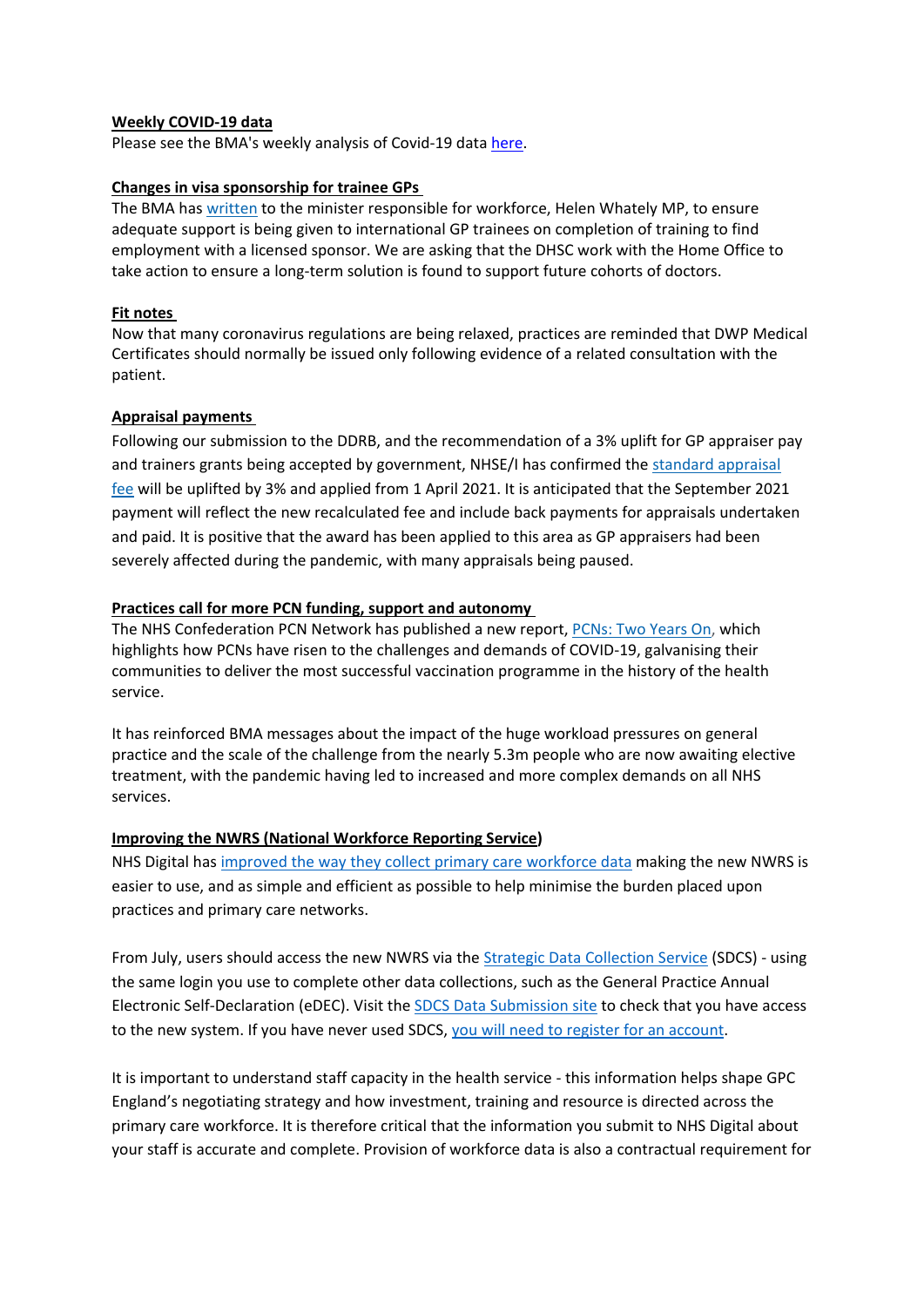## **Weekly COVID-19 data**

Please see the BMA's weekly analysis of Covid-19 data [here.](https://www.clevelandlmc.org.uk/website/IGP367/files/Weekly%20Covid-19%20data%20update%2006.08.21.pdf)

# **Changes in visa sponsorship for trainee GPs**

The BMA has [written](https://bma-mail.org.uk/t/JVX-7HFAO-JCJOU4-4IXI6L-1/c.aspx) to the minister responsible for workforce, Helen Whately MP, to ensure adequate support is being given to international GP trainees on completion of training to find employment with a licensed sponsor. We are asking that the DHSC work with the Home Office to take action to ensure a long-term solution is found to support future cohorts of doctors.

# **Fit notes**

Now that many coronavirus regulations are being relaxed, practices are reminded that DWP Medical Certificates should normally be issued only following evidence of a related consultation with the patient.

# **Appraisal payments**

Following our submission to the DDRB, and the recommendation of a 3% uplift for GP appraiser pay and trainers grants being accepted by government, NHSE/I has confirmed the standard [appraisal](https://bma-mail.org.uk/t/JVX-7HFAO-JCJOU4-4IVHZS-1/c.aspx) [fee](https://bma-mail.org.uk/t/JVX-7HFAO-JCJOU4-4IVHZS-1/c.aspx) will be uplifted by 3% and applied from 1 April 2021. It is anticipated that the September 2021 payment will reflect the new recalculated fee and include back payments for appraisals undertaken and paid. It is positive that the award has been applied to this area as GP appraisers had been severely affected during the pandemic, with many appraisals being paused.

# **Practices call for more PCN funding, support and autonomy**

The NHS Confederation PCN Network has published a new report, [PCNs:](https://bma-mail.org.uk/t/JVX-7HFAO-JCJOU4-4IVI5L-1/c.aspx) Two Years On, which highlights how PCNs have risen to the challenges and demands of COVID-19, galvanising their communities to deliver the most successful vaccination programme in the history of the health service.

It has reinforced BMA messages about the impact of the huge workload pressures on general practice and the scale of the challenge from the nearly 5.3m people who are now awaiting elective treatment, with the pandemic having led to increased and more complex demands on all NHS services.

# **Improving the NWRS (National Workforce Reporting Service)**

NHS Digital has improved the way they collect primary care [workforce](https://digital.nhs.uk/data-and-information/areas-of-interest/workforce/national-workforce-reporting-system-nwrs-workforce-census-module/the-new-national-workforce-reporting-service) data making the new NWRS is easier to use, and as simple and efficient as possible to help minimise the burden placed upon practices and primary care networks.

From July, users should access the new NWRS via the Strategic Data [Collection](https://datacollection.sdcs.digital.nhs.uk/) Service (SDCS) - using the same login you use to complete other data collections, such as the General Practice Annual Electronic Self-Declaration (eDEC). Visit the SDCS Data [Submission](https://datacollection.sdcs.digital.nhs.uk/) site to check that you have access to the new system. If you have never used SDCS, you will need to register for an [account.](https://datacollection.sdcs.digital.nhs.uk/)

It is important to understand staff capacity in the health service - this information helps shape GPC England's negotiating strategy and how investment, training and resource is directed across the primary care workforce. It is therefore critical that the information you submit to NHS Digital about your staff is accurate and complete. Provision of workforce data is also a contractual requirement for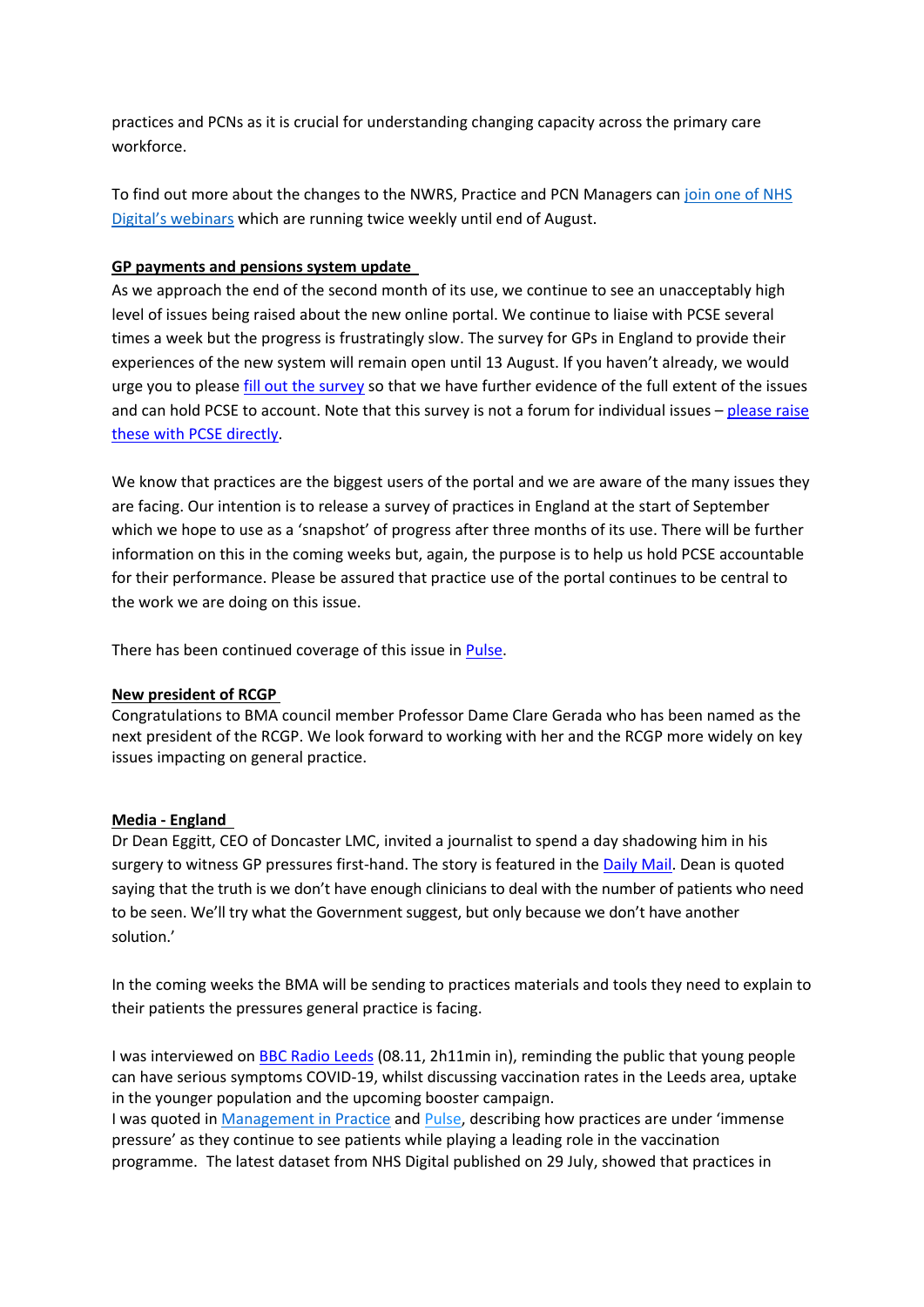practices and PCNs as it is crucial for understanding changing capacity across the primary care workforce.

To find out more about the changes to the NWRS, Practice and PCN Managers can join one of [NHS](https://elinkeu.clickdimensions.com/c/6/?T=NTgyNTUzNzk%3AcDEtYjIxMTQ4LTE5MGM3NmVkY2IyNjQ4OGNiMzBmNzgwNjRmYmNhN2Rl%3AcmFjaGVsLmNhcnJpbmd0b25AbmhzLm5ldA%3AbGVhZC05MzUwZGVjOWJjYmZlYjExODIzNTAwMjI0ODFhNmUyMS00N2JhOTBlNTg1Y2E0MmQxYTQwNzc3M2RkNjZhYmFlMw%3AZmFsc2U%3AMQ%3A%3AaHR0cHM6Ly9kaWdpdGFsLm5ocy51ay9kYXRhLWFuZC1pbmZvcm1hdGlvbi9hcmVhcy1vZi1pbnRlcmVzdC93b3JrZm9yY2UvbmF0aW9uYWwtd29ya2ZvcmNlLXJlcG9ydGluZy1zeXN0ZW0tbndycy13b3JrZm9yY2UtY2Vuc3VzLW1vZHVsZS93ZWJpbmFycz9fY2xkZWU9Y21GamFHVnNMbU5oY25KcGJtZDBiMjVBYm1oekxtNWxkQSUzZCUzZCZyZWNpcGllbnRpZD1sZWFkLTkzNTBkZWM5YmNiZmViMTE4MjM1MDAyMjQ4MWE2ZTIxLTQ3YmE5MGU1ODVjYTQyZDFhNDA3NzczZGQ2NmFiYWUzJmVzaWQ9YTMwZTYyMTQtZGNiZS1lYjExLWJhY2MtMDAyMjQ4MWE5YTRm&K=UXigbmVjo99CrIl8Ujh4qg) Digital's [webinars](https://elinkeu.clickdimensions.com/c/6/?T=NTgyNTUzNzk%3AcDEtYjIxMTQ4LTE5MGM3NmVkY2IyNjQ4OGNiMzBmNzgwNjRmYmNhN2Rl%3AcmFjaGVsLmNhcnJpbmd0b25AbmhzLm5ldA%3AbGVhZC05MzUwZGVjOWJjYmZlYjExODIzNTAwMjI0ODFhNmUyMS00N2JhOTBlNTg1Y2E0MmQxYTQwNzc3M2RkNjZhYmFlMw%3AZmFsc2U%3AMQ%3A%3AaHR0cHM6Ly9kaWdpdGFsLm5ocy51ay9kYXRhLWFuZC1pbmZvcm1hdGlvbi9hcmVhcy1vZi1pbnRlcmVzdC93b3JrZm9yY2UvbmF0aW9uYWwtd29ya2ZvcmNlLXJlcG9ydGluZy1zeXN0ZW0tbndycy13b3JrZm9yY2UtY2Vuc3VzLW1vZHVsZS93ZWJpbmFycz9fY2xkZWU9Y21GamFHVnNMbU5oY25KcGJtZDBiMjVBYm1oekxtNWxkQSUzZCUzZCZyZWNpcGllbnRpZD1sZWFkLTkzNTBkZWM5YmNiZmViMTE4MjM1MDAyMjQ4MWE2ZTIxLTQ3YmE5MGU1ODVjYTQyZDFhNDA3NzczZGQ2NmFiYWUzJmVzaWQ9YTMwZTYyMTQtZGNiZS1lYjExLWJhY2MtMDAyMjQ4MWE5YTRm&K=UXigbmVjo99CrIl8Ujh4qg) which are running twice weekly until end of August.

#### **GP payments and pensions system update**

As we approach the end of the second month of its use, we continue to see an unacceptably high level of issues being raised about the new online portal. We continue to liaise with PCSE several times a week but the progress is frustratingly slow. The survey for GPs in England to provide their experiences of the new system will remain open until 13 August. If you haven't already, we would urge you to please fill out the [survey](https://www.research.net/r/pensionsportalsurvey?utm_source=The%20British%20Medical%20Association&utm_medium=email&utm_campaign=12530242_FIS21Z1%20Financial%20services%3A%20Pension%20update%20All%20BoPs%20%28Members%29&utm_content=PCSE%20portal&dm_t=0,0,0,0,0) so that we have further evidence of the full extent of the issues and can hold PCSE to account. Note that this survey is not a forum for individual issues  $-$  [please](https://pcse.england.nhs.uk/contact-us/) raise these with PCSE [directly.](https://pcse.england.nhs.uk/contact-us/)

We know that practices are the biggest users of the portal and we are aware of the many issues they are facing. Our intention is to release a survey of practices in England at the start of September which we hope to use as a 'snapshot' of progress after three months of its use. There will be further information on this in the coming weeks but, again, the purpose is to help us hold PCSE accountable for their performance. Please be assured that practice use of the portal continues to be central to the work we are doing on this issue.

There has been continued coverage of this issue in [Pulse.](https://www.pulsetoday.co.uk/news/practice-personal-finance/gp-pension-problems-on-new-online-portal-continue/)

#### **New president of RCGP**

Congratulations to BMA council member Professor Dame Clare Gerada who has been named as the next president of the RCGP. We look forward to working with her and the RCGP more widely on key issues impacting on general practice.

#### **Media - England**

Dr Dean Eggitt, CEO of Doncaster LMC, invited a journalist to spend a day shadowing him in his surgery to witness GP pressures first-hand. The story is featured in the [Daily](https://www.dailymail.co.uk/health/article-9847323/ISABEL-OAKESHOTT-day-frazzled-GP-proof-seeing-patients-face-face-saves-lives.html) Mail. Dean is quoted saying that the truth is we don't have enough clinicians to deal with the number of patients who need to be seen. We'll try what the Government suggest, but only because we don't have another solution.'

In the coming weeks the BMA will be sending to practices materials and tools they need to explain to their patients the pressures general practice is facing.

I was interviewed on BBC Radio [Leeds](https://www.bbc.co.uk/sounds/play/p09p7m7g) (08.11, 2h11min in), reminding the public that young people can have serious symptoms COVID-19, whilst discussing vaccination rates in the Leeds area, uptake in the younger population and the upcoming booster campaign. I was quoted in [Management](https://managementinpractice.com/news/practices-delivered-4-2m-covid-vaccines-and-15m-face-to-face-appointments-in-june/) in Practice and [Pulse,](https://www.pulsetoday.co.uk/news/workload/non-vaccination-gp-appointments-increase-by-3-5-million-in-june/) describing how practices are under 'immense pressure' as they continue to see patients while playing a leading role in the vaccination programme. The latest dataset from NHS Digital published on 29 July, showed that practices in